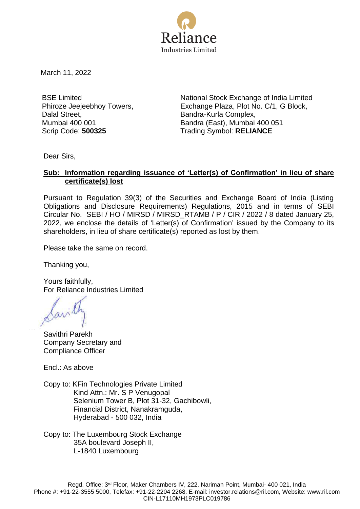

March 11, 2022

BSE Limited Phiroze Jeejeebhoy Towers, Dalal Street, Mumbai 400 001

National Stock Exchange of India Limited Exchange Plaza, Plot No. C/1, G Block, Bandra-Kurla Complex, Bandra (East), Mumbai 400 051 Scrip Code: **500325** Trading Symbol: **RELIANCE**

Dear Sirs,

## **Sub: Information regarding issuance of 'Letter(s) of Confirmation' in lieu of share certificate(s) lost**

Pursuant to Regulation 39(3) of the Securities and Exchange Board of India (Listing Obligations and Disclosure Requirements) Regulations, 2015 and in terms of SEBI Circular No. SEBI / HO / MIRSD / MIRSD\_RTAMB / P / CIR / 2022 / 8 dated January 25, 2022, we enclose the details of 'Letter(s) of Confirmation' issued by the Company to its shareholders, in lieu of share certificate(s) reported as lost by them.

Please take the same on record.

Thanking you,

Yours faithfully, For Reliance Industries Limited

Savil

Savithri Parekh Company Secretary and Compliance Officer

Encl.: As above

Copy to: KFin Technologies Private Limited Kind Attn.: Mr. S P Venugopal Selenium Tower B, Plot 31-32, Gachibowli, Financial District, Nanakramguda, Hyderabad - 500 032, India

Copy to: The Luxembourg Stock Exchange 35A boulevard Joseph II, L-1840 Luxembourg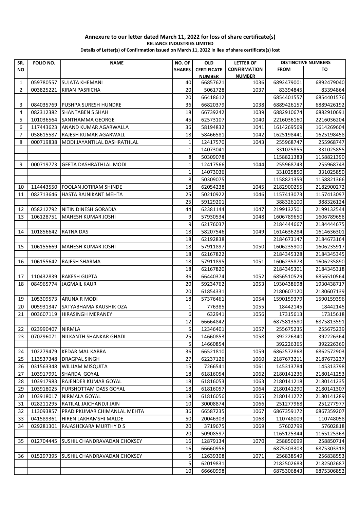| SR.             | FOLIO NO.        | <b>NAME</b>                        | NO. OF        | <b>OLD</b>         | <b>LETTER OF</b>    | <b>DISTINCTIVE NUMBERS</b> |            |
|-----------------|------------------|------------------------------------|---------------|--------------------|---------------------|----------------------------|------------|
| <b>NO</b>       |                  |                                    | <b>SHARES</b> | <b>CERTIFICATE</b> | <b>CONFIRMATION</b> | <b>FROM</b>                | TO         |
|                 |                  |                                    |               | <b>NUMBER</b>      | <b>NUMBER</b>       |                            |            |
| 1               | 059780557        | <b>SUJATA KHEMANI</b>              | 40            | 66857621           | 1036                | 6892479001                 | 6892479040 |
| $\overline{2}$  | 003825221        | <b>KIRAN PASRICHA</b>              | 20            | 5061728            | 1037                | 83394845                   | 83394864   |
|                 |                  |                                    | 20            | 66418612           |                     | 6854401557                 | 6854401576 |
| 3               | 084035769        | PUSHPA SURESH HUNDRE               | 36            | 66820379           | 1038                | 6889426157                 | 6889426192 |
| 4               | 082312382        | SHANTABEN S SHAH                   | 18            | 66739242           | 1039                | 6882910674                 | 6882910691 |
| 5               | 101036564        | SANTHAMMA GEORGE                   | 45            | 62573107           | 1040                | 2216036160                 | 2216036204 |
| 6               | 117443623        | ANAND KUMAR AGARWALLA              | 36            | 58194832           | 1041                | 1614269569                 | 1614269604 |
| 7               | 058615587        | RAJESH KUMAR AGARWALL              | 18            | 58466581           | 1042                | 1625198441                 | 1625198458 |
| 8               | 000719838        | MODI JAYANTILAL DASHRATHLAL        | 1             | 12417570           | 1043                | 255968747                  | 255968747  |
|                 |                  |                                    | $\mathbf 1$   | 14073041           |                     | 331025855                  | 331025855  |
|                 |                  |                                    | 8             | 50309078           |                     | 1158821383                 | 1158821390 |
| 9               | 000719773        | <b>GEETA DASHRATHLAL MODI</b>      | 1             | 12417566           | 1044                | 255968743                  | 255968743  |
|                 |                  |                                    | $\mathbf 1$   | 14073036           |                     | 331025850                  | 331025850  |
|                 |                  |                                    | 8             | 50309075           |                     | 1158821359                 | 1158821366 |
| 10              | 114443550        | <b>FOOLAN JOTIRAM SHINDE</b>       | 18            | 62054238           | 1045                | 2182900255                 | 2182900272 |
| 11              | 082713646        | HASTA RAJNIKANT MEHTA              | 25            | 50210922           | 1046                | 1157413073                 | 1157413097 |
|                 |                  |                                    | 25            | 59129201           |                     | 388326100                  | 388326124  |
| 12              | 058212792        | NITIN DINESH GORADIA               | 44            | 62381144           | 1047                | 2199132501                 | 2199132544 |
| 13              | 106128751        | MAHESH KUMAR JOSHI                 | 9             | 57930534           | 1048                | 1606789650                 | 1606789658 |
|                 |                  |                                    | 9             | 62176037           |                     | 2184444667                 | 2184444675 |
| 14              | 101856642        | RATNA DAS                          | 18            | 58207546           | 1049                | 1614636284                 | 1614636301 |
|                 |                  |                                    | 18            | 62192838           |                     | 2184673147                 | 2184673164 |
| 15              | 106155669        | MAHESH KUMAR JOSHI                 | 18            | 57911897           | 1050                | 1606235900                 | 1606235917 |
|                 |                  |                                    | 18            | 62167822           |                     | 2184345328                 | 2184345345 |
| 16              | 106155642        | RAJESH SHARMA                      | 18            | 57911895           | 1051                | 1606235873                 | 1606235890 |
|                 |                  |                                    | 18            | 62167820           |                     | 2184345301                 | 2184345318 |
| 17              | 110432839        | <b>RAKESH GUPTA</b>                | 36            | 66440374           | 1052                | 6856510529                 | 6856510564 |
| 18              | 084965774        | JAGMAIL KAUR                       | 20            | 59234762           | 1053                | 1930438698                 | 1930438717 |
|                 |                  |                                    | 20            | 61854331           |                     | 2180607120                 | 2180607139 |
| 19              | 105309573        | <b>ARUNA R MODI</b>                | 18            | 57376461           | 1054                | 1590159379                 | 1590159396 |
| 20              | 005931347        | SATYABHAMA KAUSHIK OZA             | 1             | 776385             | 1055                | 18442145                   | 18442145   |
| 21              | 003607119        | HIRASINGH MERANEY                  | 6             | 632941             | 1056                | 17315613                   | 17315618   |
|                 |                  |                                    | 12            | 66664842           |                     | 6875813580                 | 6875813591 |
| 22 <sub>1</sub> | 023990407 NIRMLA |                                    | $\mathsf{S}$  | 12346401           | 1057                | 255675235                  | 255675239  |
| 23              | 070296071        | NILKANTH SHANKAR GHADI             | 25            | 14660853           | 1058                | 392226340                  | 392226364  |
|                 |                  |                                    | 5             | 14660854           |                     | 392226365                  | 392226369  |
| 24              | 102279479        | <b>KEDAR MAL KABRA</b>             | 36            | 66521810           | 1059                | 6862572868                 | 6862572903 |
| 25              | 113537348        | <b>DRAGPAL SINGH</b>               | 27            | 62237126           | 1060                | 2187673211                 | 2187673237 |
| 26              | 031563348        | <b>WILLIAM MISQUITA</b>            | 15            | 7266541            | 1061                | 145313784                  | 145313798  |
| 27              | 103917991        | SHARDA GOYAL                       | 18            | 61816054           | 1062                | 2180141236                 | 2180141253 |
| 28              | 103917983        | RAJENDER KUMAR GOYAL               | 18            | 61816053           | 1063                | 2180141218                 | 2180141235 |
| 29              | 103918025        | PURSHOTTAM DASS GOYAL              | 18            | 61816057           | 1064                | 2180141290                 | 2180141307 |
| 30              | 103918017        | NIRMALA GOYAL                      | 18            | 61816056           | 1065                | 2180141272                 | 2180141289 |
| 31              | 028211295        | RATILAL JAICHANDJI JAIN            | 10            | 30008874           | 1066                | 251277968                  | 251277977  |
| 32              | 113093857        | PRADIPKUMAR CHIMANLAL MEHTA        | 36            | 66587235           | 1067                | 6867359172                 | 6867359207 |
| 33              | 041589361        | HIREN LAKHAMSHI MALDE              | 50            | 20046303           | 1068                | 110748009                  | 110748058  |
| 34              | 029281301        | RAJASHEKARA MURTHY D S             | 20            | 3719675            | 1069                | 57602799                   | 57602818   |
|                 |                  |                                    | 20            | 50908597           |                     | 1165125344                 | 1165125363 |
| 35              | 012704445        | SUSHIL CHANDRAVADAN CHOKSEY        | 16            | 12879134           | 1070                | 258850699                  | 258850714  |
|                 |                  |                                    | 16            | 66660956           |                     | 6875303303                 | 6875303318 |
| 36              | 015297395        | <b>SUSHIL CHANDRAVADAN CHOKSEY</b> | 5             | 12639308           | 1071                | 256838549                  | 256838553  |
|                 |                  |                                    | 5             | 62019831           |                     | 2182502683                 | 2182502687 |
|                 |                  |                                    | 10            | 66660998           |                     | 6875306843                 | 6875306852 |
|                 |                  |                                    |               |                    |                     |                            |            |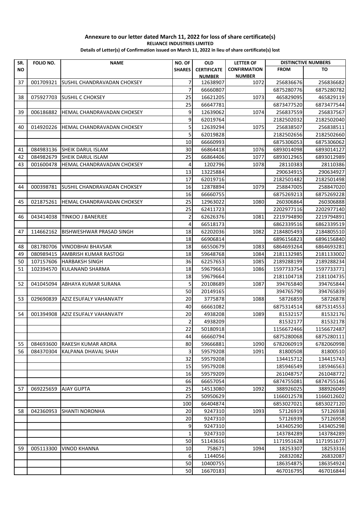| SR.       | FOLIO NO. | <b>NAME</b>                 | NO. OF         | <b>OLD</b>         | <b>LETTER OF</b>    |             | <b>DISTINCTIVE NUMBERS</b> |
|-----------|-----------|-----------------------------|----------------|--------------------|---------------------|-------------|----------------------------|
| <b>NO</b> |           |                             | <b>SHARES</b>  | <b>CERTIFICATE</b> | <b>CONFIRMATION</b> | <b>FROM</b> | TO                         |
|           |           |                             |                | <b>NUMBER</b>      | <b>NUMBER</b>       |             |                            |
| 37        | 001709321 | SUSHIL CHANDRAVADAN CHOKSEY | $\overline{7}$ | 12638907           | 1072                | 256836676   | 256836682                  |
|           |           |                             | $\overline{7}$ | 66660807           |                     | 6875280776  | 6875280782                 |
| 38        | 075927703 | <b>ISUSHIL C CHOKSEY</b>    | 25             | 16621205           | 1073                | 465829095   | 465829119                  |
|           |           |                             | 25             | 66647781           |                     | 6873477520  | 6873477544                 |
| 39        | 006186882 | HEMAL CHANDRAVADAN CHOKSEY  | 9              | 12639062           | 1074                | 256837559   | 256837567                  |
|           |           |                             | 9              | 62019764           |                     | 2182502032  | 2182502040                 |
| 40        | 014920226 | HEMAL CHANDRAVADAN CHOKSEY  | 5              | 12639294           | 1075                | 256838507   | 256838511                  |
|           |           |                             | 5              | 62019828           |                     | 2182502656  | 2182502660                 |
|           |           |                             | 10             | 66660993           |                     | 6875306053  | 6875306062                 |
| 41        | 084983136 | <b>SHEIK DARUL ISLAM</b>    | 30             | 66864418           | 1076                | 6893014098  | 6893014127                 |
| 42        | 084982679 | <b>SHEIK DARUL ISLAM</b>    | 25             | 66864406           | 1077                | 6893012965  | 6893012989                 |
| 43        | 001600478 | HEMAL CHANDRAVADAN CHOKSEY  | $\overline{4}$ | 1202796            | 1078                | 28110383    | 28110386                   |
|           |           |                             | 13             | 13225884           |                     | 290634915   | 290634927                  |
|           |           |                             | 17             | 62019716           |                     | 2182501482  | 2182501498                 |
| 44        | 000398781 | SUSHIL CHANDRAVADAN CHOKSEY | 16             | 12878894           | 1079                | 258847005   | 258847020                  |
|           |           |                             | 16             | 66660755           |                     | 6875269213  | 6875269228                 |
| 45        | 021875261 | HEMAL CHANDRAVADAN CHOKSEY  | 25             | 12963022           | 1080                | 260306864   | 260306888                  |
|           |           |                             | 25             | 62411723           |                     | 2202977116  | 2202977140                 |
| 46        | 043414038 | <b>TINKOO J BANERJEE</b>    | 2              | 62626376           | 1081                | 2219794890  | 2219794891                 |
|           |           |                             | 4              | 66518173           |                     | 6862339516  | 6862339519                 |
| 47        | 114662162 | BISHWESHWAR PRASAD SINGH    | 18             | 62202036           | 1082                | 2184805493  | 2184805510                 |
|           |           |                             | 18             | 66906814           |                     | 6896156823  | 6896156840                 |
| 48        | 081780706 | <b>VINODBHAI BHAVSAR</b>    | 18             | 66550679           | 1083                | 6864693264  | 6864693281                 |
| 49        | 080989415 | AMBRISH KUMAR RASTOGI       | 18             | 59648768           | 1084                | 2181132985  | 2181133002                 |
| 50        | 107157606 | <b>HARBAKSH SINGH</b>       | 36             | 62257653           | 1085                | 2189288199  | 2189288234                 |
| 51        | 102394570 | KULANAND SHARMA             | 18             | 59679663           | 1086                | 1597733754  | 1597733771                 |
|           |           |                             | 18             | 59679664           |                     | 2181104718  | 2181104735                 |
| 52        | 041045094 | ABHAYA KUMAR SURANA         | 5              | 20108689           | 1087                | 394765840   | 394765844                  |
|           |           |                             | 50             | 20149165           |                     | 394765790   | 394765839                  |
| 53        | 029690839 | AZIZ ESUFALY VAHANVATY      | 20             | 3775878            | 1088                | 58726859    | 58726878                   |
|           |           |                             | 40             | 66661082           |                     | 6875314514  | 6875314553                 |
| 54        | 001394908 | AZIZ ESUFALY VAHANVATY      | 20             | 4938208            | 1089                | 81532157    | 81532176                   |
|           |           |                             | $\overline{2}$ | 4938209            |                     | 81532177    | 81532178                   |
|           |           |                             | 22             | 50180918           |                     | 1156672466  | 1156672487                 |
|           |           |                             | 44             | 66660794           |                     | 6875280068  | 6875280111                 |
| 55        | 084693600 | RAKESH KUMAR ARORA          | 80             | 59666881           | 1090                | 6782060919  | 6782060998                 |
| 56        | 084370304 | KALPANA DHAVAL SHAH         | 3              | 59579208           | 1091                | 81800508    | 81800510                   |
|           |           |                             | 32             | 59579208           |                     | 134415712   | 134415743                  |
|           |           |                             | 15             | 59579208           |                     | 185946549   | 185946563                  |
|           |           |                             | 16             | 59579209           |                     | 261048757   | 261048772                  |
|           |           |                             | 66             | 66657054           |                     | 6874755081  | 6874755146                 |
| 57        | 069225659 | AJAY GUPTA                  | 25             | 14513080           | 1092                | 388926025   | 388926049                  |
|           |           |                             | 25             | 50950629           |                     | 1166012578  | 1166012602                 |
|           |           |                             | 100            | 66404874           |                     | 6853027021  | 6853027120                 |
| 58        | 042360953 | <b>SHANTI NORONHA</b>       | 20             | 9247310            | 1093                | 57126919    | 57126938                   |
|           |           |                             | 20             | 9247310            |                     | 57126939    | 57126958                   |
|           |           |                             | 9              | 9247310            |                     | 143405290   | 143405298                  |
|           |           |                             | $\mathbf{1}$   | 9247310            |                     | 143784289   |                            |
|           |           |                             | 50             | 51143616           |                     |             | 143784289                  |
|           |           |                             |                |                    |                     | 1171951628  | 1171951677                 |
| 59        | 005113300 | <b>VINOD KHANNA</b>         | 10             | 758671             | 1094                | 18253307    | 18253316                   |
|           |           |                             | 6              | 1144056            |                     | 26832082    | 26832087                   |
|           |           |                             | 50             | 10400755           |                     | 186354875   | 186354924                  |
|           |           |                             | 50             | 16670183           |                     | 467016795   | 467016844                  |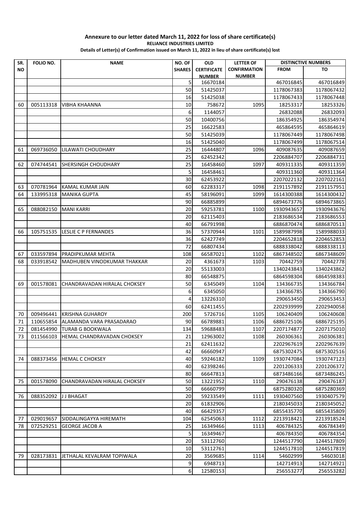| SR.       | FOLIO NO. | <b>NAME</b>                  | NO. OF        | <b>OLD</b>         | <b>LETTER OF</b>    | <b>DISTINCTIVE NUMBERS</b> |            |
|-----------|-----------|------------------------------|---------------|--------------------|---------------------|----------------------------|------------|
| <b>NO</b> |           |                              | <b>SHARES</b> | <b>CERTIFICATE</b> | <b>CONFIRMATION</b> | <b>FROM</b>                | TO         |
|           |           |                              |               | <b>NUMBER</b>      | <b>NUMBER</b>       |                            |            |
|           |           |                              | 5             | 16670184           |                     | 467016845                  | 467016849  |
|           |           |                              | 50            | 51425037           |                     | 1178067383                 | 1178067432 |
|           |           |                              | 16            | 51425038           |                     | 1178067433                 | 1178067448 |
| 60        | 005113318 | <b>VIBHA KHAANNA</b>         | 10            | 758672             | 1095                | 18253317                   | 18253326   |
|           |           |                              | 6             | 1144057            |                     | 26832088                   | 26832093   |
|           |           |                              | 50            | 10400756           |                     | 186354925                  | 186354974  |
|           |           |                              | 25            | 16622583           |                     | 465864595                  | 465864619  |
|           |           |                              | 50            | 51425039           |                     | 1178067449                 | 1178067498 |
|           |           |                              | 16            | 51425040           |                     | 1178067499                 | 1178067514 |
| 61        | 069736050 | LILAWATI CHOUDHARY           | 25            | 16444807           | 1096                | 409087635                  | 409087659  |
|           |           |                              | 25            | 62452342           |                     | 2206884707                 | 2206884731 |
| 62        | 074744541 | SHERSINGH CHOUDHARY          | 25            | 16458460           | 1097                | 409311335                  | 409311359  |
|           |           |                              | 5             | 16458461           |                     | 409311360                  | 409311364  |
|           |           |                              | 30            | 62453922           |                     | 2207022132                 | 2207022161 |
| 63        | 070781964 | KAMAL KUMAR JAIN             | 60            | 62283317           | 1098                | 2191157892                 | 2191157951 |
| 64        | 133995318 | <b>MANIKA GUPTA</b>          | 45            | 58196091           | 1099                | 1614300388                 | 1614300432 |
|           |           |                              | 90            | 66885899           |                     | 6894673776                 | 6894673865 |
| 65        | 088082150 | <b>MANI KARRI</b>            | 20            | 59253781           | 1100                | 1930943657                 | 1930943676 |
|           |           |                              | 20            | 62115403           |                     | 2183686534                 | 2183686553 |
|           |           |                              | 40            | 66791998           |                     | 6886870474                 | 6886870513 |
| 66        | 105751535 | <b>LESLIE C P FERNANDES</b>  | 36            | 57370944           | 1101                | 1589987998                 | 1589988033 |
|           |           |                              | 36            | 62427749           |                     | 2204652818                 | 2204652853 |
|           |           |                              | 72            | 66807434           |                     | 6888338042                 | 6888338113 |
| 67        | 033597894 | PRADIPKUMAR MEHTA            | 108           | 66587021           | 1102                | 6867348502                 | 6867348609 |
| 68        | 033918542 | MADHUBEN VINODKUMAR THAKKAR  | 20            | 4361673            | 1103                | 70442759                   | 70442778   |
|           |           |                              | 20            | 55133003           |                     | 1340243843                 | 1340243862 |
|           |           |                              | 80            | 66548875           |                     | 6864598304                 | 6864598383 |
| 69        | 001578081 | CHANDRAVADAN HIRALAL CHOKSEY | 50            | 6345049            | 1104                | 134366735                  | 134366784  |
|           |           |                              | 6             | 6345050            |                     | 134366785                  | 134366790  |
|           |           |                              | 4             | 13226310           |                     | 290653450                  | 290653453  |
|           |           |                              | 60            | 62411455           |                     | 2202939999                 | 2202940058 |
| 70        | 009496441 | <b>KRISHNA GUHAROY</b>       | 200           | 5726716            | 1105                | 106240409                  | 106240608  |
| 71        | 110655854 | ALAMANDA VARA PRASADARAO     | 90            | 66789881           | 1106                | 6886725106                 | 6886725195 |
| 72        |           | 081454990 TURAB G BOOKWALA   | 134           | 59688483           | 1107                | 2207174877                 | 2207175010 |
| 73        | 011566103 | HEMAL CHANDRAVADAN CHOKSEY   | 21            | 12963002           | 1108                | 260306361                  | 260306381  |
|           |           |                              | 21            | 62411632           |                     | 2202967619                 | 2202967639 |
|           |           |                              | 42            | 66660947           |                     | 6875302475                 | 6875302516 |
| 74        | 088373456 | <b>HEMAL C CHOKSEY</b>       | 40            | 59246182           | 1109                | 1930747084                 | 1930747123 |
|           |           |                              | 40            | 62398246           |                     | 2201206333                 | 2201206372 |
|           |           |                              | 80            | 66647813           |                     | 6873486166                 | 6873486245 |
| 75        | 001578090 | CHANDRAVADAN HIRALAL CHOKSEY | 50            | 13221952           | 1110                | 290476138                  | 290476187  |
|           |           |                              | 50            | 66660799           |                     | 6875280320                 | 6875280369 |
| 76        | 088352092 | J J BHAGAT                   | 20            | 59233549           | 1111                | 1930407560                 | 1930407579 |
|           |           |                              | 20            | 61832906           |                     | 2180345033                 | 2180345052 |
|           |           |                              | 40            | 66429357           |                     | 6855435770                 | 6855435809 |
| 77        | 029019657 | SIDDALINGAYYA HIREMATH       | 104           | 62545063           | 1112                | 2213918421                 | 2213918524 |
| 78        | 072529251 | <b>GEORGE JACOB A</b>        | 25            | 16349466           | 1113                | 406784325                  | 406784349  |
|           |           |                              | 5             | 16349467           |                     | 406784350                  | 406784354  |
|           |           |                              | 20            | 53112760           |                     | 1244517790                 | 1244517809 |
|           |           |                              | 10            | 53112761           |                     | 1244517810                 | 1244517819 |
| 79        | 028173831 | JETHALAL KEVALRAM TOPIWALA   | 20            | 3569685            | 1114                | 54602999                   | 54603018   |
|           |           |                              | 9             | 6948713            |                     | 142714913                  | 142714921  |
|           |           |                              | 6             | 12580153           |                     | 256553277                  | 256553282  |
|           |           |                              |               |                    |                     |                            |            |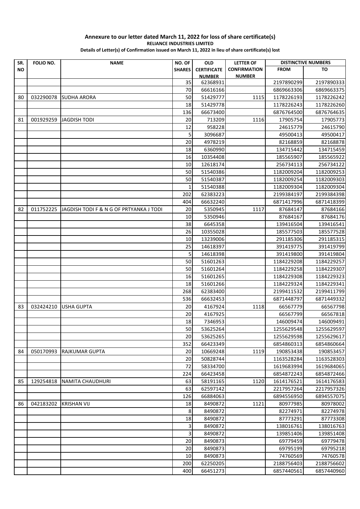| SR.       | FOLIO NO. | <b>NAME</b>                             | NO. OF        | <b>OLD</b>         | <b>LETTER OF</b>    | <b>DISTINCTIVE NUMBERS</b> |                          |
|-----------|-----------|-----------------------------------------|---------------|--------------------|---------------------|----------------------------|--------------------------|
| <b>NO</b> |           |                                         | <b>SHARES</b> | <b>CERTIFICATE</b> | <b>CONFIRMATION</b> | <b>FROM</b>                | TO                       |
|           |           |                                         |               | <b>NUMBER</b>      | <b>NUMBER</b>       |                            |                          |
|           |           |                                         | 35            | 62368931           |                     | 2197890299                 | 2197890333               |
|           |           |                                         | 70            | 66616166           |                     | 6869663306                 | 6869663375               |
| 80        | 032290078 | <b>SUDHA ARORA</b>                      | 50            | 51429777           | 1115                | 1178226193                 | 1178226242               |
|           |           |                                         | 18            | 51429778           |                     | 1178226243                 | 1178226260               |
|           |           |                                         | 136           | 66673400           |                     | 6876764500                 | 6876764635               |
| 81        | 001929259 | <b>JAGDISH TODI</b>                     | 20            | 713209             | 1116                | 17905754                   | 17905773                 |
|           |           |                                         | 12            | 958228             |                     | 24615779                   | 24615790                 |
|           |           |                                         | 5             | 3096687            |                     | 49500413                   | 49500417                 |
|           |           |                                         | 20            | 4978219            |                     | 82168859                   | 82168878                 |
|           |           |                                         | 18            | 6360990            |                     | 134715442                  | 134715459                |
|           |           |                                         | 16            | 10354408           |                     | 185565907                  | 185565922                |
|           |           |                                         | 10            | 12618174           |                     | 256734113                  | 256734122                |
|           |           |                                         | 50            | 51540386           |                     | 1182009204                 | 1182009253               |
|           |           |                                         | 50            | 51540387           |                     | 1182009254                 | 1182009303               |
|           |           |                                         | $\mathbf{1}$  | 51540388           |                     | 1182009304                 | 1182009304               |
|           |           |                                         | 202           | 62383223           |                     | 2199384197                 | 2199384398               |
|           |           |                                         | 404           | 66632240           |                     | 6871417996                 | 6871418399               |
| 82        | 011752225 | JAGDISH TODI F & N G OF PRTYANKA J TODI | 20            | 5350945            | 1117                | 87684147                   | 87684166                 |
|           |           |                                         | 10            | 5350946            |                     | 87684167                   | 87684176                 |
|           |           |                                         | 38            | 6645358            |                     | 139416504                  | 139416541                |
|           |           |                                         | 26            | 10355028           |                     | 185577503                  | 185577528                |
|           |           |                                         | 10            | 13239006           |                     | 291185306                  | 291185315                |
|           |           |                                         | 25            | 14618397           |                     | 391419775                  | 391419799                |
|           |           |                                         | 5             | 14618398           |                     | 391419800                  | 391419804                |
|           |           |                                         | 50            | 51601263           |                     | 1184229208                 | 1184229257               |
|           |           |                                         | 50            | 51601264           |                     | 1184229258                 | 1184229307               |
|           |           |                                         | 16            | 51601265           |                     | 1184229308                 | 1184229323               |
|           |           |                                         | 18            | 51601266           |                     | 1184229324                 | 1184229341               |
|           |           |                                         | 268           | 62383400           |                     | 2199411532                 | 2199411799               |
|           |           |                                         | 536           | 66632453           |                     | 6871448797                 | 6871449332               |
| 83        | 032424210 | <b>USHA GUPTA</b>                       | 20            | 4167924            | 1118                | 66567779                   | 66567798                 |
|           |           |                                         | 20            | 4167925            |                     | 66567799                   | 66567818                 |
|           |           |                                         | 18            | 7346953            |                     | 146009474                  | 146009491                |
|           |           |                                         | 50            | 53625264           |                     | 1255629548                 | 1255629597               |
|           |           |                                         | 20            | 53625265           |                     | 1255629598                 | 1255629617               |
|           |           |                                         | 352           | 66423349           |                     | 6854860313                 | 6854860664               |
| 84        | 050170993 | <b>RAJKUMAR GUPTA</b>                   | 20            | 10669248           | 1119                | 190853438                  | 190853457                |
|           |           |                                         | 20            | 50828744           |                     | 1163528284                 | 1163528303               |
|           |           |                                         | 72            | 58334700           |                     | 1619683994                 | 1619684065               |
|           |           |                                         | 224           | 66423458           |                     | 6854872243                 | 6854872466               |
| 85        | 129254818 | <b>NAMITA CHAUDHURI</b>                 | 63            | 58191165           | 1120                | 1614176521                 |                          |
|           |           |                                         | 63            | 62597142           |                     | 2217957264                 | 1614176583<br>2217957326 |
|           |           |                                         |               |                    |                     |                            |                          |
|           |           |                                         | 126           | 66884063           |                     | 6894556950                 | 6894557075               |
| 86        | 042183202 | <b>KRISHAN VIJ</b>                      | 18            | 8490872            | 1121                | 80977985                   | 80978002                 |
|           |           |                                         | 8             | 8490872            |                     | 82274971                   | 82274978                 |
|           |           |                                         | 18            | 8490872            |                     | 87773291                   | 87773308                 |
|           |           |                                         | 3             | 8490872            |                     | 138016761                  | 138016763                |
|           |           |                                         | 3             | 8490872            |                     | 139851406                  | 139851408                |
|           |           |                                         | 20            | 8490873            |                     | 69779459                   | 69779478                 |
|           |           |                                         | 20            | 8490873            |                     | 69795199                   | 69795218                 |
|           |           |                                         | 10            | 8490873            |                     | 74760569                   | 74760578                 |
|           |           |                                         | 200           | 62250205           |                     | 2188756403                 | 2188756602               |
|           |           |                                         | 400           | 66451273           |                     | 6857440561                 | 6857440960               |